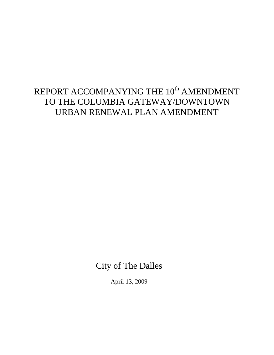# REPORT ACCOMPANYING THE  $10^{\rm th}$  AMENDMENT TO THE COLUMBIA GATEWAY/DOWNTOWN URBAN RENEWAL PLAN AMENDMENT

City of The Dalles

April 13, 2009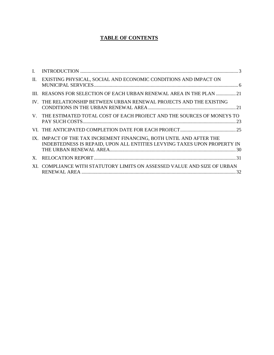### **TABLE OF CONTENTS**

| $\mathbf{I}$ |                                                                                                                                                 |
|--------------|-------------------------------------------------------------------------------------------------------------------------------------------------|
| $\Pi$ .      | EXISTING PHYSICAL, SOCIAL AND ECONOMIC CONDITIONS AND IMPACT ON                                                                                 |
| Ш.           | REASONS FOR SELECTION OF EACH URBAN RENEWAL AREA IN THE PLAN 21                                                                                 |
|              | IV. THE RELATIONSHIP BETWEEN URBAN RENEWAL PROJECTS AND THE EXISTING                                                                            |
| $V_{\perp}$  | THE ESTIMATED TOTAL COST OF EACH PROJECT AND THE SOURCES OF MONEYS TO                                                                           |
|              |                                                                                                                                                 |
|              | IX. IMPACT OF THE TAX INCREMENT FINANCING, BOTH UNTIL AND AFTER THE<br>INDEBTEDNESS IS REPAID, UPON ALL ENTITIES LEVYING TAXES UPON PROPERTY IN |
| $X_{-}$      |                                                                                                                                                 |
|              | XI. COMPLIANCE WITH STATUTORY LIMITS ON ASSESSED VALUE AND SIZE OF URBAN                                                                        |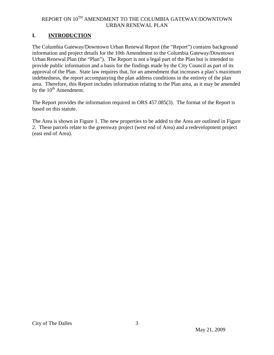### <span id="page-2-0"></span>**I. INTRODUCTION**

The Columbia Gateway/Downtown Urban Renewal Report (the "Report") contains background information and project details for the 10th Amendment to the Columbia Gateway/Downtown Urban Renewal Plan (the "Plan"). The Report is not a legal part of the Plan but is intended to provide public information and a basis for the findings made by the City Council as part of its approval of the Plan. State law requires that, for an amendment that increases a plan's maximum indebtedness, the report accompanying the plan address conditions in the entirety of the plan area. Therefore, this Report includes information relating to the Plan area, as it may be amended by the  $10<sup>th</sup>$  Amendment.

The Report provides the information required in ORS 457.085(3). The format of the Report is based on this statute.

The Area is shown in Figure 1. The new properties to be added to the Area are outlined in Figure 2. These parcels relate to the greenway project (west end of Area) and a redevelopment project (east end of Area).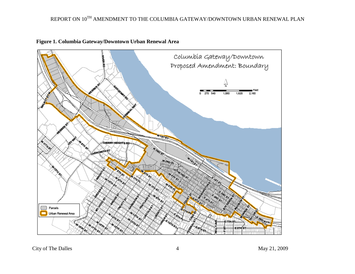

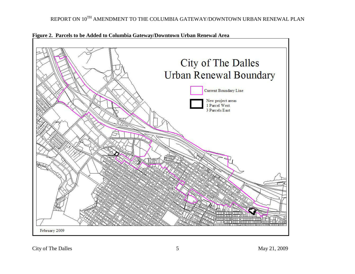

**Figure 2. Parcels to be Added to Columbia Gateway/Downtown Urban Renewal Area**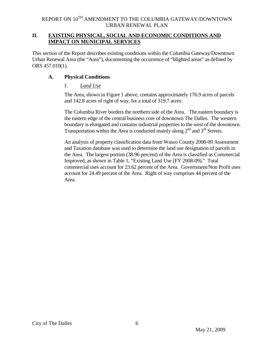### <span id="page-5-0"></span>**II. EXISTING PHYSICAL, SOCIAL AND ECONOMIC CONDITIONS AND IMPACT ON MUNICIPAL SERVICES**

This section of the Report describes existing conditions within the Columbia Gateway/Downtown Urban Renewal Area (the "Area"), documenting the occurrence of "blighted areas" as defined by ORS 457.010(1).

### **A. Physical Conditions**

### 1. *Land Use*

The Area, shown in Figure 1 above, contains approximately 176.9 acres of parcels and 142.8 acres of right of way, for a total of 319.7 acres.

The Columbia River borders the northern side of the Area. The eastern boundary is the eastern edge of the central business core of downtown The Dalles. The western boundary is elongated and contains industrial properties to the west of the downtown. Transportation within the Area is conducted mainly along  $2<sup>nd</sup>$  and  $3<sup>rd</sup>$  Streets.

An analysis of property classification data from Wasco County 2008-09 Assessment and Taxation database was used to determine the land use designation of parcels in the Area. The largest portion (38.96 percent) of the Area is classified as Commercial Improved, as shown in Table 1, "Existing Land Use (FY 2008-09)." Total commercial uses account for 23.62 percent of the Area. Government/Non Profit uses account for 24.49 percent of the Area. Right of way comprises 44 percent of the Area.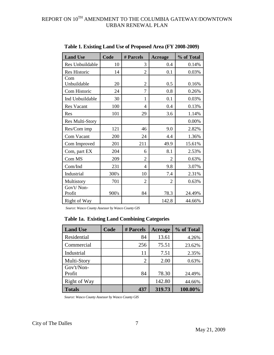| <b>Land Use</b>      | Code  | # Parcels                | <b>Acreage</b> | % of Total |
|----------------------|-------|--------------------------|----------------|------------|
| Res Unbuildable      | 10    | 3                        | 0.4            | 0.14%      |
| <b>Res Historic</b>  | 14    | 2                        | 0.1            | 0.03%      |
| Com<br>Unbuildable   | 20    | 2                        | 0.5            | 0.16%      |
| Com Historic         | 24    | 7                        | 0.8            | 0.26%      |
| Ind Unbuildable      | 30    | 1                        | 0.1            | 0.03%      |
| <b>Res Vacant</b>    | 100   | 4                        | 0.4            | 0.13%      |
| Res                  | 101   | 29                       | 3.6            | 1.14%      |
| Res Multi-Story      |       |                          |                | 0.00%      |
| Res/Com imp          | 121   | 46                       | 9.0            | 2.82%      |
| Com Vacant           | 200   | 24                       | 4.4            | 1.36%      |
| Com Improved         | 201   | 211                      | 49.9           | 15.61%     |
| Com, part EX         | 204   | 6                        | 8.1            | 2.53%      |
| Com MS               | 209   | 2                        | $\overline{2}$ | 0.63%      |
| Com/Ind              | 231   | $\overline{\mathcal{A}}$ | 9.8            | 3.07%      |
| Industrial           | 300's | 10                       | 7.4            | 2.31%      |
| Multistory           | 701   | $\overline{2}$           | 2              | 0.63%      |
| Gov't/Non-<br>Profit | 900's | 84                       | 78.3           | 24.49%     |
| Right of Way         |       |                          | 142.8          | 44.66%     |

**Table 1. Existing Land Use of Proposed Area (FY 2008-2009)**

*Source: Wasco County Assessor by Wasco County GIS*

# **Table 1a. Existing Land Combining Categories**

| <b>Land Use</b>      | Code | # Parcels      | <b>Acreage</b> | % of Total |
|----------------------|------|----------------|----------------|------------|
| Residential          |      | 84             | 13.61          | 4.26%      |
| Commercial           |      | 256            | 75.51          | 23.62%     |
| Industrial           |      | 11             | 7.51           | 2.35%      |
| Multi-Story          |      | $\overline{2}$ | 2.00           | 0.63%      |
| Gov't/Non-<br>Profit |      | 84             | 78.30          | 24.49%     |
| Right of Way         |      |                | 142.80         | 44.66%     |
| <b>Totals</b>        |      | 437            | 319.73         | 100.00%    |

*Source: Wasco County Assessor by Wasco County GIS*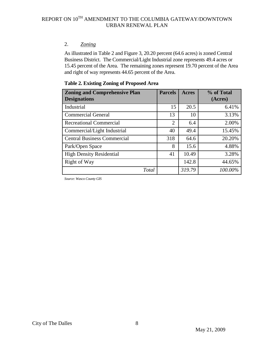### 2. *Zoning*

As illustrated in Table 2 and Figure 3, 20.20 percent (64.6 acres) is zoned Central Business District. The Commercial/Light Industrial zone represents 49.4 acres or 15.45 percent of the Area. The remaining zones represent 19.70 percent of the Area and right of way represents 44.65 percent of the Area.

| <b>Zoning and Comprehensive Plan</b><br><b>Designations</b> | <b>Parcels</b> | Acres  | % of Total<br>(Acres) |
|-------------------------------------------------------------|----------------|--------|-----------------------|
| Industrial                                                  | 15             | 20.5   | 6.41%                 |
| <b>Commercial General</b>                                   | 13             | 10     | 3.13%                 |
| <b>Recreational Commercial</b>                              | $\overline{2}$ | 6.4    | 2.00%                 |
| Commercial/Light Industrial                                 | 40             | 49.4   | 15.45%                |
| <b>Central Business Commercial</b>                          | 318            | 64.6   | 20.20%                |
| Park/Open Space                                             | 8              | 15.6   | 4.88%                 |
| <b>High Density Residential</b>                             | 41             | 10.49  | 3.28%                 |
| Right of Way                                                |                | 142.8  | 44.65%                |
| Total                                                       |                | 319.79 | 100.00%               |

### **Table 2. Existing Zoning of Proposed Area**

*Source: Wasco County GIS*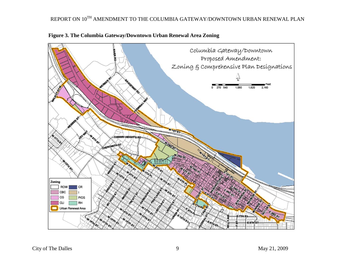

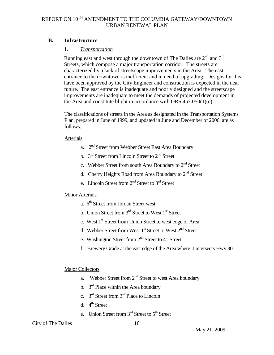### **B. Infrastructure**

### 1. *Transportation*

Running east and west through the downtown of The Dalles are  $2<sup>nd</sup>$  and  $3<sup>rd</sup>$ Streets, which compose a major transportation corridor. The streets are characterized by a lack of streetscape improvements in the Area. The east entrance to the downtown is inefficient and in need of upgrading. Designs for this have been approved by the City Engineer and construction is expected in the near future. The east entrance is inadequate and poorly designed and the streetscape improvements are inadequate to meet the demands of projected development in the Area and constitute blight in accordance with ORS 457.050(1)(e).

The classifications of streets in the Area as designated in the Transportation Systems Plan, prepared in June of 1999, and updated in June and December of 2006, are as follows:

### Arterials

- a. 2nd Street from Webber Street East Area Boundary
- b.  $3<sup>rd</sup>$  Street from Lincoln Street to  $2<sup>nd</sup>$  Street
- c. Webber Street from south Area Boundary to 2<sup>nd</sup> Street
- d. Cherry Heights Road from Area Boundary to 2<sup>nd</sup> Street
- e. Lincoln Street from  $2<sup>nd</sup>$  Street to  $3<sup>rd</sup>$  Street

### Minor Arterials

- a.  $6<sup>th</sup>$  Street from Jordan Street west
- b. Union Street from  $3<sup>rd</sup>$  Street to West  $1<sup>st</sup>$  Street
- c. West 1<sup>st</sup> Street from Union Street to west edge of Area
- d. Webber Street from West 1<sup>st</sup> Street to West 2<sup>nd</sup> Street
- e. Washington Street from  $2<sup>nd</sup>$  Street to  $4<sup>th</sup>$  Street
- f. Brewery Grade at the east edge of the Area where it intersects Hwy 30

### Major Collectors

- a. Webber Street from  $2<sup>nd</sup>$  Street to west Area boundary
- b.  $3<sup>rd</sup>$  Place within the Area boundary
- c. 3rd Street from 3rd Place to Lincoln
- d.  $4^{\text{th}}$  Street
- e. Union Street from  $3<sup>rd</sup>$  Street to  $5<sup>th</sup>$  Street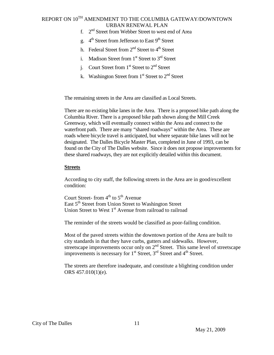- f. 2nd Street from Webber Street to west end of Area
- g.  $4^{\text{th}}$  Street from Jefferson to East 9<sup>th</sup> Street
- h. Federal Street from  $2<sup>nd</sup>$  Street to  $4<sup>th</sup>$  Street
- i. Madison Street from  $1<sup>st</sup>$  Street to  $3<sup>rd</sup>$  Street
- i. Court Street from  $1<sup>st</sup>$  Street to  $2<sup>nd</sup>$  Street
- k. Washington Street from  $1<sup>st</sup>$  Street to  $2<sup>nd</sup>$  Street

The remaining streets in the Area are classified as Local Streets.

There are no existing bike lanes in the Area. There is a proposed bike path along the Columbia River. There is a proposed bike path shown along the Mill Creek Greenway, which will eventually connect within the Area and connect to the waterfront path. There are many "shared roadways" within the Area. These are roads where bicycle travel is anticipated, but where separate bike lanes will not be designated. The Dalles Bicycle Master Plan, completed in June of 1993, can be found on the City of The Dalles website. Since it does not propose improvements for these shared roadways, they are not explicitly detailed within this document.

#### **Streets**

According to city staff, the following streets in the Area are in good/excellent condition:

Court Street- from  $4^{th}$  to  $5^{th}$  Avenue East 5<sup>th</sup> Street from Union Street to Washington Street Union Street to West 1<sup>st</sup> Avenue from railroad to railroad

The reminder of the streets would be classified as poor-failing condition.

Most of the paved streets within the downtown portion of the Area are built to city standards in that they have curbs, gutters and sidewalks. However, streetscape improvements occur only on 2<sup>nd</sup> Street. This same level of streetscape improvements is necessary for  $1^{st}$  Street,  $3^{rd}$  Street and  $4^{th}$  Street.

The streets are therefore inadequate, and constitute a blighting condition under ORS 457.010(1)(e).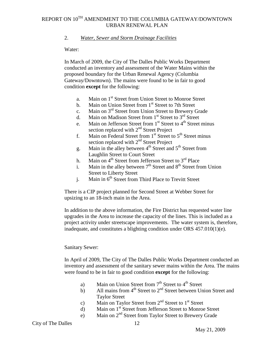### 2. *Water, Sewer and Storm Drainage Facilities*

#### Water:

In March of 2009, the City of The Dalles Public Works Department conducted an inventory and assessment of the Water Mains within the proposed boundary for the Urban Renewal Agency (Columbia Gateway/Downtown). The mains were found to be in fair to good condition **except** for the following:

- a. Main on 1<sup>st</sup> Street from Union Street to Monroe Street
- b. Main on Union Street from 1<sup>st</sup> Street to 7th Street
- c. Main on  $3<sup>rd</sup>$  Street from Union Street to Brewery Grade
- d. Main on Madison Street from  $1<sup>st</sup>$  Street to  $3<sup>rd</sup>$  Street
- e. Main on Jefferson Street from  $1<sup>st</sup>$  Street to  $4<sup>th</sup>$  Street minus section replaced with  $2<sup>nd</sup>$  Street Project
- f. Main on Federal Street from  $1<sup>st</sup>$  Street to  $5<sup>th</sup>$  Street minus section replaced with 2<sup>nd</sup> Street Project
- g. Main in the alley between  $4<sup>th</sup>$  Street and  $5<sup>th</sup>$  Street from Laughlin Street to Court Street
- h. Main on  $4^{th}$  Street from Jefferson Street to  $3^{rd}$  Place
- i. Main in the alley between  $7<sup>th</sup>$  Street and  $8<sup>th</sup>$  Street from Union Street to Liberty Street
- j. Main in 6<sup>th</sup> Street from Third Place to Trevitt Street

There is a CIP project planned for Second Street at Webber Street for upsizing to an 18-inch main in the Area.

In addition to the above information, the Fire District has requested water line upgrades in the Area to increase the capacity of the lines. This is included as a project activity under streetscape improvements. The water system is, therefore, inadequate, and constitutes a blighting condition under ORS 457.010(1)(e).

### Sanitary Sewer:

In April of 2009, The City of The Dalles Public Works Department conducted an inventory and assessment of the sanitary sewer mains within the Area. The mains were found to be in fair to good condition **except** for the following:

- a) Main on Union Street from  $7<sup>th</sup>$  Street to  $4<sup>th</sup>$  Street
- b) All mains from  $4<sup>th</sup>$  Street to  $2<sup>nd</sup>$  Street between Union Street and Taylor Street
- c) Main on Taylor Street from  $2<sup>nd</sup>$  Street to  $1<sup>st</sup>$  Street
- d) Main on 1<sup>st</sup> Street from Jefferson Street to Monroe Street
- e) Main on  $2<sup>nd</sup>$  Street from Taylor Street to Brewery Grade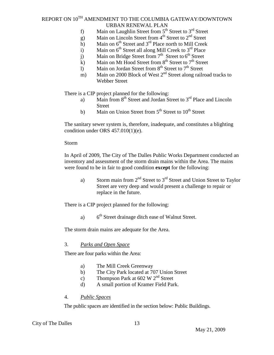- f) Main on Laughlin Street from  $5<sup>th</sup>$  Street to  $3<sup>rd</sup>$  Street
- g) Main on Lincoln Street from  $4<sup>th</sup>$  Street to  $2<sup>nd</sup>$  Street
- h) Main on  $6<sup>th</sup>$  Street and  $3<sup>rd</sup>$  Place north to Mill Creek
- i) Main on  $6<sup>th</sup>$  Street all along Mill Creek to  $3<sup>rd</sup>$  Place
- j) Main on Bridge Street from  $7<sup>th</sup>$  Street to  $6<sup>th</sup>$  Street
- k) Main on Mt Hood Street from  $8^{th}$  Street to  $7^{th}$  Street
- l) Main on Jordan Street from  $8<sup>th</sup>$  Street to  $7<sup>th</sup>$  Street
- m) Main on 2000 Block of West  $2<sup>nd</sup>$  Street along railroad tracks to Webber Street

There is a CIP project planned for the following:

- a) Main from 8<sup>th</sup> Street and Jordan Street to 3<sup>rd</sup> Place and Lincoln Street
- b) Main on Union Street from  $5<sup>th</sup>$  Street to  $10<sup>th</sup>$  Street

The sanitary sewer system is, therefore, inadequate, and constitutes a blighting condition under ORS 457.010(1)(e).

#### Storm

In April of 2009, The City of The Dalles Public Works Department conducted an inventory and assessment of the storm drain mains within the Area. The mains were found to be in fair to good condition **except** for the following:

a) Storm main from  $2<sup>nd</sup>$  Street to  $3<sup>rd</sup>$  Street and Union Street to Taylor Street are very deep and would present a challenge to repair or replace in the future.

There is a CIP project planned for the following:

a)  $6<sup>th</sup>$  Street drainage ditch ease of Walnut Street.

The storm drain mains are adequate for the Area.

### 3. *Parks and Open Space*

There are four parks within the Area:

- a) The Mill Creek Greenway
- b) The City Park located at 707 Union Street
- c) Thompson Park at  $602 \text{ W } 2^{\text{nd}}$  Street
- d) A small portion of Kramer Field Park.

### 4. *Public Spaces*

The public spaces are identified in the section below: Public Buildings.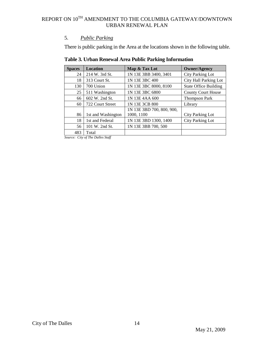### 5. *Public Parking*

There is public parking in the Area at the locations shown in the following table.

| <b>Spaces</b> | <b>Location</b>    | Map & Tax Lot             | <b>Owner/Agency</b>          |
|---------------|--------------------|---------------------------|------------------------------|
| 24            | 214 W. 3rd St.     | 1N 13E 3BB 3400, 3401     | City Parking Lot             |
| 18            | 313 Court St.      | 1N 13E 3BC 400            | City Hall Parking Lot        |
| 130           | 700 Union          | 1N 13E 3BC 8000, 8100     | <b>State Office Building</b> |
| 25            | 511 Washington     | 1N 13E 3BC 6800           | <b>County Court House</b>    |
| 66            | 602 W. 2nd St.     | 1N 13E 4AA 600            | <b>Thompson Park</b>         |
| 60            | 722 Court Street   | 1N 13E 3CB 800            | Library                      |
|               |                    | 1N 13E 3BD 700, 800, 900, |                              |
| 86            | 1st and Washington | 1000, 1100                | <b>City Parking Lot</b>      |
| 18            | 1st and Federal    | 1N 13E 3BD 1300, 1400     | City Parking Lot             |
| 56            | 101 W. 2nd St.     | 1N 13E 3BB 700, 500       |                              |
| 483           | Total              |                           |                              |

### **Table 3. Urban Renewal Area Public Parking Information**

*Source: City of The Dalles Staff*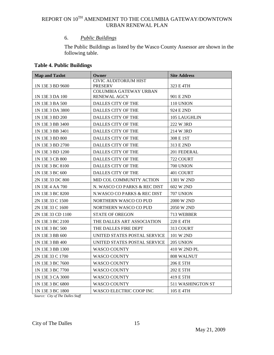### 6. *Public Buildings*

The Public Buildings as listed by the Wasco County Assessor are shown in the following table.

### **Table 4. Public Buildings**

| <b>Map and Taxlot</b> | Owner                                           | <b>Site Address</b> |
|-----------------------|-------------------------------------------------|---------------------|
|                       | <b>CIVIC AUDITORIUM HIST</b>                    |                     |
| 1N 13E 3 BD 9600      | <b>PRESERV</b><br><b>COLUMBIA GATEWAY URBAN</b> | 323 E 4TH           |
| 1N 13E 3 DA 100       | RENEWAL AGCY                                    | 901 E 2ND           |
| 1N 13E 3 BA 500       | DALLES CITY OF THE                              | 110 UNION           |
| 1N 13E 3 DA 3800      | <b>DALLES CITY OF THE</b>                       | 924 E 2ND           |
| 1N 13E 3 BD 200       | DALLES CITY OF THE                              | 105 LAUGHLIN        |
| 1N 13E 3 BB 3400      | DALLES CITY OF THE                              | 222 W 3RD           |
| 1N 13E 3 BB 3401      | DALLES CITY OF THE                              | 214 W 3RD           |
| 1N 13E 3 BD 800       | DALLES CITY OF THE                              | 308 E 1ST           |
| 1N 13E 3 BD 2700      | DALLES CITY OF THE                              | 313 E 2ND           |
| 1N 13E 3 BD 1200      | <b>DALLES CITY OF THE</b>                       | 201 FEDERAL         |
| 1N 13E 3 CB 800       | DALLES CITY OF THE                              | 722 COURT           |
| 1N 13E 3 BC 8100      | DALLES CITY OF THE                              | 700 UNION           |
| 1N 13E 3 BC 600       | DALLES CITY OF THE                              | 401 COURT           |
| 2N 13E 33 DC 800      | MID COL COMMUNITY ACTION                        | 1301 W 2ND          |
| 1N 13E 4 AA 700       | N. WASCO CO PARKS & REC DIST                    | 602 W 2ND           |
| 1N 13E 3 BC 8200      | N.WASCO CO PARKS & REC DIST                     | 707 UNION           |
| 2N 13E 33 C 1500      | NORTHERN WASCO CO PUD                           | 2000 W 2ND          |
| 2N 13E 33 C 1600      | NORTHERN WASCO CO PUD                           | 2050 W 2ND          |
| 2N 13E 33 CD 1100     | STATE OF OREGON                                 | 713 WEBBER          |
| 1N 13E 3 BC 2100      | THE DALLES ART ASSOCIATION                      | 220 E 4TH           |
| 1N 13E 3 BC 500       | THE DALLES FIRE DEPT                            | 313 COURT           |
| 1N 13E 3 BB 600       | UNITED STATES POSTAL SERVICE                    | 101 W 2ND           |
| 1N 13E 3 BB 400       | UNITED STATES POSTAL SERVICE                    | 205 UNION           |
| 1N 13E 3 BB 1300      | <b>WASCO COUNTY</b>                             | 410 W 2ND PL        |
| 2N 13E 33 C 1700      | WASCO COUNTY                                    | 808 WALNUT          |
| 1N 13E 3 BC 7600      | <b>WASCO COUNTY</b>                             | 206 E 5TH           |
| 1N 13E 3 BC 7700      | <b>WASCO COUNTY</b>                             | 202 E 5TH           |
| 1N 13E 3 CA 3000      | WASCO COUNTY                                    | 419 E 5TH           |
| 1N 13E 3 BC 6800      | <b>WASCO COUNTY</b>                             | 511 WASHINGTON ST   |
| 1N 13E 3 BC 1800      | WASCO ELECTRIC COOP INC                         | 105 E 4TH           |

*Source: City of The Dalles Staff*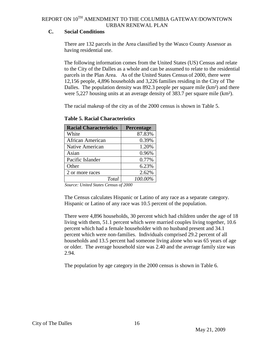### **C. Social Conditions**

There are 132 parcels in the Area classified by the Wasco County Assessor as having residential use.

The following information comes from the United States (US) Census and relate to the City of the Dalles as a whole and can be assumed to relate to the residential parcels in the Plan Area. As of the United States [Census](http://en.wikipedia.org/wiki/Census) of 2000, there were 12,156 people, 4,896 households and 3,226 families residing in the City of The Dalles. The [population density](http://en.wikipedia.org/wiki/Population_density) was 892.3 people per square mile (km<sup>2</sup>) and there were 5,227 housing units at an average density of 383.7 per square mile (km<sup>2</sup>).

The racial makeup of the city as of the 2000 census is shown in Table 5.

| <b>Racial Characteristics</b> | Percentage |
|-------------------------------|------------|
| White                         | 87.83%     |
| African American              | 0.39%      |
| Native American               | 1.20%      |
| Asian                         | 0.96%      |
| Pacific Islander              | 0.77%      |
| Other                         | 6.23%      |
| 2 or more races               | 2.62%      |
| Total                         | 100.00%    |

**Table 5. Racial Characteristics**

 *Source: United States Census of 2000*

The Census calculates Hispanic or Latino of any race as a separate category. [Hispanic](http://en.wikipedia.org/wiki/Hispanic_%28U.S._Census%29) or [Latino](http://en.wikipedia.org/wiki/Latino_%28U.S._Census%29) of any race was 10.5 percent of the population.

There were 4,896 households, 30 percent which had children under the age of 18 living with them, 51.1 percent which were [married couples](http://en.wikipedia.org/wiki/Marriage) living together, 10.6 percent which had a female householder with no husband present and 34.1 percent which were non-families. Individuals comprised 29.2 percent of all households and 13.5 percent had someone living alone who was 65 years of age or older. The average household size was 2.40 and the average family size was 2.94.

The population by age category in the 2000 census is shown in Table 6.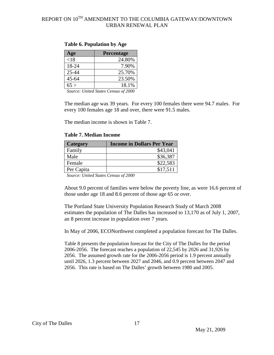| Age       | <b>Percentage</b>         |
|-----------|---------------------------|
| < 18      | 24.80%                    |
| 18-24     | 7.90%                     |
| 25-44     | 25.70%                    |
| $45 - 64$ | 23.50%                    |
| 65 >      | 18.1%                     |
| $\sim$    | TT . IC. .<br>$\sim$ 0.00 |

#### **Table 6. Population by Age**

*Source: United States Census of 2000*

The median age was 39 years. For every 100 females there were 94.7 males. For every 100 females age 18 and over, there were 91.5 males.

The median income is shown in Table 7.

|  | <b>Table 7. Median Income</b> |  |
|--|-------------------------------|--|
|--|-------------------------------|--|

| <b>Category</b> | <b>Income in Dollars Per Year</b> |
|-----------------|-----------------------------------|
| Family          | \$43,041                          |
| Male            | \$36,387                          |
| Female          | \$22,583                          |
| Per Capita      | \$17,511                          |

*Source: United States Census of 2000*

About 9.0 percent of families were below the [poverty line,](http://en.wikipedia.org/wiki/Poverty_line) as were 16.6 percent of those under age 18 and 8.6 percent of those age 65 or over.

The Portland State University Population Research Study of March 2008 estimates the population of The Dalles has increased to 13,170 as of July 1, 2007, an 8 percent increase in population over 7 years.

In May of 2006, ECONorthwest completed a population forecast for The Dalles.

Table 8 presents the population forecast for the City of The Dalles for the period 2006-2056. The forecast reaches a population of 22,545 by 2026 and 31,926 by 2056. The assumed growth rate for the 2006-2056 period is 1.9 percent annually until 2026, 1.3 percent between 2027 and 2046, and 0.9 percent between 2047 and 2056. This rate is based on The Dalles' growth between 1980 and 2005.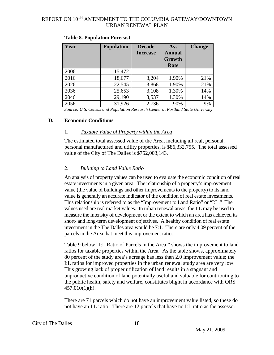| Year | <b>Population</b> | <b>Decade</b><br><b>Increase</b> | Av.<br><b>Annual</b><br>Growth | <b>Change</b> |
|------|-------------------|----------------------------------|--------------------------------|---------------|
|      |                   |                                  | Rate                           |               |
| 2006 | 15,472            |                                  |                                |               |
| 2016 | 18,677            | 3,204                            | 1.90%                          | 21%           |
| 2026 | 22,545            | 3,868                            | 1.90%                          | 21%           |
| 2036 | 25,653            | 3,108                            | 1.30%                          | 14%           |
| 2046 | 29,190            | 3,537                            | 1.30%                          | 14%           |
| 2056 | 31,926            | 2,736                            | .90%                           | 9%            |

#### **Table 8. Population Forecast**

*Source: U.S. Census and Population Research Center at Portland State University*

#### **D. Economic Conditions**

#### 1. *Taxable Value of Property within the Area*

The estimated total assessed value of the Area, including all real, personal, personal manufactured and utility properties, is \$86,332,755. The total assessed value of the City of The Dalles is \$752,003,143.

#### 2. *Building to Land Value Ratio*

An analysis of property values can be used to evaluate the economic condition of real estate investments in a given area. The relationship of a property's improvement value (the value of buildings and other improvements to the property) to its land value is generally an accurate indicator of the condition of real estate investments. This relationship is referred to as the "Improvement to Land Ratio" or "I:L." The values used are real market values. In urban renewal areas, the I:L may be used to measure the intensity of development or the extent to which an area has achieved its short- and long-term development objectives. A healthy condition of real estate investment in the The Dalles area would be 7:1. There are only 4.09 percent of the parcels in the Area that meet this improvement ratio.

Table 9 below "I:L Ratio of Parcels in the Area," shows the improvement to land ratios for taxable properties within the Area. As the table shows, approximately 80 percent of the study area's acreage has less than 2.0 improvement value; the I:L ratios for improved properties in the urban renewal study area are very low. This growing lack of proper utilization of land results in a stagnant and unproductive condition of land potentially useful and valuable for contributing to the public health, safety and welfare, constitutes blight in accordance with ORS 457.010(1)(h).

There are 71 parcels which do not have an improvement value listed, so these do not have an I:L ratio. There are 12 parcels that have no I:L ratio as the assessor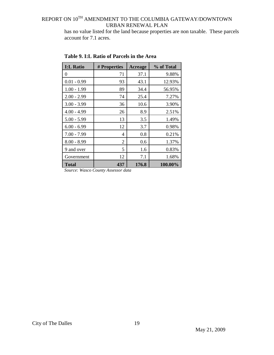has no value listed for the land because properties are non taxable. These parcels account for 7.1 acres.

| <b>I:L Ratio</b> | # Properties | Acreage | % of Total |
|------------------|--------------|---------|------------|
| 0                | 71           | 37.1    | 9.88%      |
| $0.01 - 0.99$    | 93           | 43.1    | 12.93%     |
| $1.00 - 1.99$    | 89           | 34.4    | 56.95%     |
| $2.00 - 2.99$    | 74           | 25.4    | 7.27%      |
| $3.00 - 3.99$    | 36           | 10.6    | 3.90%      |
| $4.00 - 4.99$    | 26           | 8.9     | 2.51%      |
| $5.00 - 5.99$    | 13           | 3.5     | 1.49%      |
| $6.00 - 6.99$    | 12           | 3.7     | 0.98%      |
| $7.00 - 7.99$    | 4            | 0.8     | 0.21%      |
| $8.00 - 8.99$    | 2            | 0.6     | 1.37%      |
| 9 and over       | 5            | 1.6     | 0.83%      |
| Government       | 12           | 7.1     | 1.68%      |
| Total            | 437          | 176.8   | 100.00%    |

**Table 9. I:L Ratio of Parcels in the Area**

*Source: Wasco County Assessor data*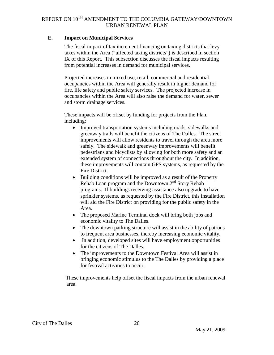### **E. Impact on Municipal Services**

The fiscal impact of tax increment financing on taxing districts that levy taxes within the Area ("affected taxing districts") is described in section IX of this Report. This subsection discusses the fiscal impacts resulting from potential increases in demand for municipal services.

Projected increases in mixed use, retail, commercial and residential occupancies within the Area will generally result in higher demand for fire, life safety and public safety services. The projected increase in occupancies within the Area will also raise the demand for water, sewer and storm drainage services.

These impacts will be offset by funding for projects from the Plan, including:

- Improved transportation systems including roads, sidewalks and greenway trails will benefit the citizens of The Dalles. The street improvements will allow residents to travel through the area more safely. The sidewalk and greenway improvements will benefit pedestrians and bicyclists by allowing for both more safety and an extended system of connections throughout the city. In addition, these improvements will contain GPS systems, as requested by the Fire District.
- Building conditions will be improved as a result of the Property Rehab Loan program and the Downtown  $2<sup>nd</sup>$  Story Rehab programs. If buildings receiving assistance also upgrade to have sprinkler systems, as requested by the Fire District, this installation will aid the Fire District on providing for the public safety in the Area.
- The proposed Marine Terminal dock will bring both jobs and economic vitality to The Dalles.
- The downtown parking structure will assist in the ability of patrons to frequent area businesses, thereby increasing economic vitality.
- In addition, developed sites will have employment opportunities for the citizens of The Dalles.
- The improvements to the Downtown Festival Area will assist in bringing economic stimulus to the The Dalles by providing a place for festival activities to occur.

These improvements help offset the fiscal impacts from the urban renewal area.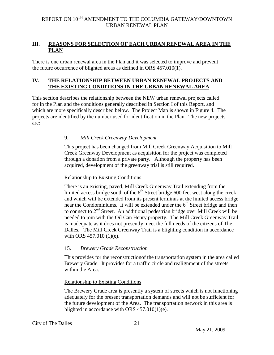### <span id="page-20-0"></span>**III. REASONS FOR SELECTION OF EACH URBAN RENEWAL AREA IN THE PLAN**

There is one urban renewal area in the Plan and it was selected to improve and prevent the future occurrence of blighted areas as defined in ORS 457.010(1).

### <span id="page-20-1"></span>**IV. THE RELATIONSHIP BETWEEN URBAN RENEWAL PROJECTS AND THE EXISTING CONDITIONS IN THE URBAN RENEWAL AREA**

This section describes the relationship between the NEW urban renewal projects called for in the Plan and the conditions generally described in Section I of this Report, and which are more specifically described below. The Project Map is shown in Figure 4. The projects are identified by the number used for identification in the Plan. The new projects are:

### 9. *Mill Creek Greenway Development*

This project has been changed from Mill Creek Greenway Acquisition to Mill Creek Greenway Development as acquisition for the project was completed through a donation from a private party. Although the property has been acquired, development of the greenway trial is still required.

#### Relationship to Existing Conditions

There is an existing, paved, Mill Creek Greenway Trail extending from the limited access bridge south of the  $6<sup>th</sup>$  Street bridge 600 feet west along the creek and which will be extended from its present terminus at the limited access bridge near the Condominiums. It will be extended under the  $6<sup>th</sup>$  Street bridge and then to connect to 2<sup>nd</sup> Street. An additional pedestrian bridge over Mill Creek will be needed to join with the Oil Can Henry property. The Mill Creek Greenway Trail is inadequate as it does not presently meet the full needs of the citizens of The Dalles. The Mill Creek Greenway Trail is a blighting condition in accordance with ORS 457.010 (1)(e).

### 15. *Brewery Grade Reconstruction*

This provides for the reconstructionof the transportation system in the area called Brewery Grade. It provides for a traffic circle and realignment of the streets within the Area.

### Relationship to Existing Conditions

The Brewery Grade area is presently a system of streets which is not functioning adequately for the present transportation demands and will not be sufficient for the future development of the Area. The transportation network in this area is blighted in accordance with ORS 457.010(1)(e).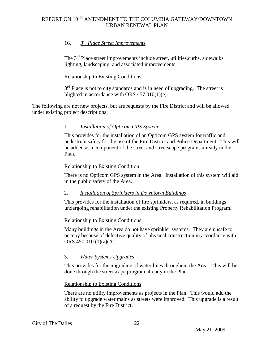### 16. *3rd Place Street Improvements*

The 3<sup>rd</sup> Place street improvements include street, utilities, curbs, sidewalks, lighting, landscaping, and associated improvements.

### Relationship to Existing Conditions

 $3<sup>rd</sup>$  Place is not to city standards and is in need of upgrading. The street is blighted in accordance with ORS 457.010(1)(e).

The following are not new projects, but are requests by the Fire District and will be allowed under existing project descriptions:

### 1. *Installation of Opticom GPS System*

This provides for the installation of an Opticom GPS system for traffic and pedestrian safety for the use of the Fire District and Police Department. This will be added as a component of the street and streetscape programs already in the Plan.

### Relationship to Existing Condition

There is no Opticom GPS system in the Area. Installation of this system will aid in the public safety of the Area.

### 2. *Installation of Sprinklers in Downtown Buildings*

This provides for the installation of fire sprinklers, as required, in buildings undergoing rehabilitation under the existing Property Rehabilitation Program.

### Relationship to Existing Conditions

Many buildings in the Area do not have sprinkler systems. They are unsafe to occupy because of defective quality of physical construction in accordance with ORS 457.010 (1)(a)(A).

### 3. *Water Systems Upgrades*

This provides for the upgrading of water lines throughout the Area. This will be done through the streetscape program already in the Plan.

### Relationship to Existing Conditions

There are no utility improvements as projects in the Plan. This would add the ability to upgrade water mains as streets were improved. This upgrade is a result of a request by the Fire District.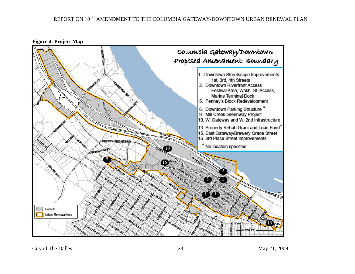

**Figure 4. Project Map**

City of The Dalles May 21, 2009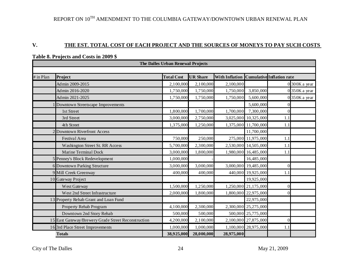### **V. THE EST. TOTAL COST OF EACH PROJECT AND THE SOURCES OF MONEYS TO PAY SUCH COSTS**

|           | The Dalles Urban Renewal Projects                   |                   |                 |                                          |                      |          |                 |
|-----------|-----------------------------------------------------|-------------------|-----------------|------------------------------------------|----------------------|----------|-----------------|
|           |                                                     |                   |                 |                                          |                      |          |                 |
| # in Plan | Project                                             | <b>Total Cost</b> | <b>UR Share</b> | With Inflation Cumulative Inflation rate |                      |          |                 |
|           | Admin 2009-2015                                     | 2,100,000         | 2,100,000       | 2,100,000                                |                      |          | 0 300K a year   |
|           | Admin 2016-2020                                     | 1,750,000         | 1,750,000       | 1,750,000                                | 3,850,000            |          | $0$ 350K a year |
|           | Admin 2021-2025                                     | 1,750,000         | 1,750,000       | 1,750,000                                | 5,600,000            |          | $0350K$ a year  |
|           | Downtown Streetscape Improvements                   |                   |                 |                                          | 5,600,000            |          |                 |
|           | 1st Street                                          | 1,800,000         | 1,700,000       | 1,700,000                                | 7,300,000            |          |                 |
|           | 3rd Street                                          | 3,000,000         | 2,750,000       |                                          | 3,025,000 10,325,000 | 1.1      |                 |
|           | 4th Street                                          | 1,375,000         | 1,250,000       |                                          | 1,375,000 11,700,000 | 1.1      |                 |
|           | <b>Downtown Riverfront Access</b>                   |                   |                 |                                          | 11,700,000           |          |                 |
|           | Festival Area                                       | 750,000           | 250,000         |                                          | 275,000 11,975,000   | 1.1      |                 |
|           | Washington Street St. RR Access                     | 5,700,000         | 2,300,000       |                                          | 2,530,000 14,505,000 | 1.1      |                 |
|           | Marine Terminal Dock                                | 3,000,000         | 1,800,000       |                                          | 1,980,000 16,485,000 | 1.1      |                 |
|           | 5 Penney's Block Redevelopment                      | 1,000,000         |                 |                                          | 16,485,000           |          |                 |
|           | 6 Downtown Parking Structure                        | 3,000,000         | 3,000,000       |                                          | 3,000,000 19,485,000 | $\Omega$ |                 |
|           | 9 Mill Creek Greenway                               | 400,000           | 400,000         |                                          | 440,000 19,925,000   | 1.1      |                 |
|           | 10 Gateway Project                                  |                   |                 |                                          | 19,925,000           |          |                 |
|           | West Gateway                                        | 1,500,000         | 1,250,000       |                                          | 1,250,000 21,175,000 | O        |                 |
|           | West 2nd Street Infrastructure                      | 2,000,000         | 1,800,000       |                                          | 1,800,000 22,975,000 |          |                 |
|           | 13 Property Rehab Grant and Loan Fund               |                   |                 |                                          | 22,975,000           |          |                 |
|           | Property Rehab Program                              | 4,100,000         | 2,300,000       |                                          | 2,300,000 25,275,000 |          |                 |
|           | Downtown 2nd Story Rehab                            | 500,000           | 500,000         |                                          | 500,000 25,775,000   |          |                 |
|           | 15 East Gateway/Brewery Grade Street Reconstruction | 4,200,000         | 2,100,000       |                                          | 2,100,000 27,875,000 | $\theta$ |                 |
|           | 16 3rd Place Street Improvements                    | 1,000,000         | 1,000,000       |                                          | 1,100,000 28,975,000 | 1.1      |                 |
|           | <b>Totals</b>                                       | 38,925,000        | 28,000,000      | 28,975,000                               |                      |          |                 |

### **Table 8. Projects and Costs in 2009 \$**

City of The Dalles May 21, 2009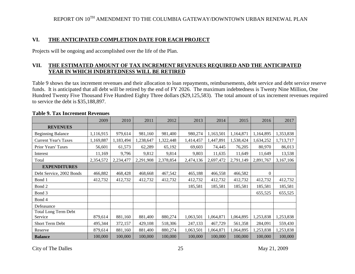### **VI. THE ANTICIPATED COMPLETION DATE FOR EACH PROJECT**

Projects will be ongoing and accomplished over the life of the Plan.

### **VII. THE ESTIMATED AMOUNT OF TAX INCREMENT REVENUES REQUIRED AND THE ANTICIPATED YEAR IN WHICH INDEBTEDNESS WILL BE RETIRED**

Table 9 shows the tax increment revenues and their allocation to loan repayments, reimbursements, debt service and debt service reserve funds. It is anticipated that all debt will be retired by the end of FY 2026. The maximum indebtedness is Twenty Nine Million, One Hundred Twenty Five Thousand Five Hundred Eighty Three dollars (\$29,125,583). The total amount of tax increment revenues required to service the debt is \$35,188,897.

|                             | 2009      | 2010      | 2011      | 2012      | 2013      | 2014      | 2015      | 2016      | 2017      |
|-----------------------------|-----------|-----------|-----------|-----------|-----------|-----------|-----------|-----------|-----------|
| <b>REVENUES</b>             |           |           |           |           |           |           |           |           |           |
| <b>Beginning Balance</b>    | 1,116,915 | 979,614   | 981,160   | 981,400   | 980,274   | 1,163,501 | 1,164,871 | 1,164,895 | 1,353,838 |
| <b>Current Year's Taxes</b> | 1,169,887 | 1,183,494 | 1,238,647 | 1,322,448 | 1,414,457 | 1,447,891 | 1,538,424 | 1,634,252 | 1,713,717 |
| Prior Years' Taxes          | 56,601    | 61,573    | 62,289    | 65,192    | 69,603    | 74,445    | 76,205    | 80,970    | 86,013    |
| Interest                    | 11,169    | 9,796     | 9,812     | 9,814     | 9,803     | 11,635    | 11,649    | 11,649    | 13,538    |
| Total                       | 2,354,572 | 2,234,477 | 2,291,908 | 2,378,854 | 2,474,136 | 2,697,472 | 2,791,149 | 2,891,767 | 3,167,106 |
| <b>EXPENDITURES</b>         |           |           |           |           |           |           |           |           |           |
| Debt Service, 2002 Bonds    | 466,882   | 468,428   | 468,668   | 467,542   | 465,188   | 466,558   | 466,582   | $\theta$  |           |
| Bond 1                      | 412,732   | 412,732   | 412,732   | 412,732   | 412,732   | 412,732   | 412,732   | 412,732   | 412,732   |
| Bond 2                      |           |           |           |           | 185,581   | 185,581   | 185,581   | 185,581   | 185,581   |
| Bond 3                      |           |           |           |           |           |           |           | 655,525   | 655,525   |
| Bond 4                      |           |           |           |           |           |           |           |           |           |
| Defeasance                  |           |           |           |           |           |           |           |           |           |
| <b>Total Long Term Debt</b> |           |           |           |           |           |           |           |           |           |
| Service                     | 879,614   | 881,160   | 881,400   | 880,274   | 1,063,501 | 1,064,871 | 1,064,895 | 1,253,838 | 1,253,838 |
| Short Term Debt             | 495,344   | 372,157   | 429,108   | 518,306   | 247,133   | 467,729   | 561,358   | 284,091   | 559,430   |
| Reserve                     | 879,614   | 881,160   | 881,400   | 880,274   | 1,063,501 | 1,064,871 | 1,064,895 | 1,253,838 | 1,253,838 |
| <b>Balance</b>              | 100,000   | 100,000   | 100,000   | 100,000   | 100,000   | 100,000   | 100,000   | 100,000   | 100,000   |

#### <span id="page-24-0"></span>**Table 9. Tax Increment Revenues**

City of The Dalles May 21, 2009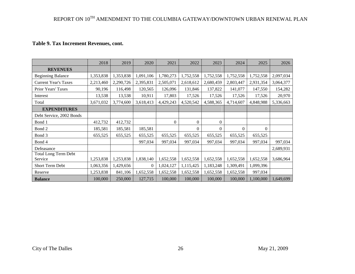### **Table 9. Tax Increment Revenues, cont.**

|                             | 2018      | 2019      | 2020      | 2021      | 2022      | 2023      | 2024      | 2025      | 2026      |
|-----------------------------|-----------|-----------|-----------|-----------|-----------|-----------|-----------|-----------|-----------|
| <b>REVENUES</b>             |           |           |           |           |           |           |           |           |           |
| <b>Beginning Balance</b>    | 1,353,838 | 1,353,838 | 1,091,106 | 1,780,273 | 1,752,558 | 1,752,558 | 1,752,558 | 1,752,558 | 2,097,034 |
| <b>Current Year's Taxes</b> | 2,213,460 | 2,290,726 | 2,395,831 | 2,505,071 | 2,618,612 | 2,680,459 | 2,803,447 | 2,931,354 | 3,064,377 |
| Prior Years' Taxes          | 90,196    | 116,498   | 120,565   | 126,096   | 131,846   | 137,822   | 141,077   | 147,550   | 154,282   |
| Interest                    | 13,538    | 13,538    | 10,911    | 17,803    | 17,526    | 17,526    | 17,526    | 17,526    | 20,970    |
| Total                       | 3,671,032 | 3,774,600 | 3,618,413 | 4,429,243 | 4,520,542 | 4,588,365 | 4,714,607 | 4,848,988 | 5,336,663 |
| <b>EXPENDITURES</b>         |           |           |           |           |           |           |           |           |           |
| Debt Service, 2002 Bonds    |           |           |           |           |           |           |           |           |           |
| Bond 1                      | 412,732   | 412,732   |           | $\Omega$  | $\Omega$  | $\Omega$  |           |           |           |
| Bond 2                      | 185,581   | 185,581   | 185,581   |           | $\Omega$  | $\Omega$  | $\Omega$  | $\Omega$  |           |
| Bond 3                      | 655,525   | 655,525   | 655,525   | 655,525   | 655,525   | 655,525   | 655,525   | 655,525   |           |
| Bond 4                      |           |           | 997,034   | 997,034   | 997,034   | 997,034   | 997,034   | 997,034   | 997,034   |
| Defeasance                  |           |           |           |           |           |           |           |           | 2,689,931 |
| <b>Total Long Term Debt</b> |           |           |           |           |           |           |           |           |           |
| Service                     | 1,253,838 | 1,253,838 | 1,838,140 | 1,652,558 | 1,652,558 | 1,652,558 | 1,652,558 | 1,652,558 | 3,686,964 |
| Short Term Debt             | 1,063,356 | 1,429,656 | 0         | 1,024,127 | 1,115,425 | 1,183,248 | 1,309,491 | 1,099,396 |           |
| Reserve                     | 1,253,838 | 841,106   | 1,652,558 | 1,652,558 | 1,652,558 | 1,652,558 | 1,652,558 | 997,034   |           |
| <b>Balance</b>              | 100,000   | 250,000   | 127,715   | 100,000   | 100,000   | 100,000   | 100,000   | 1,100,000 | 1,649,699 |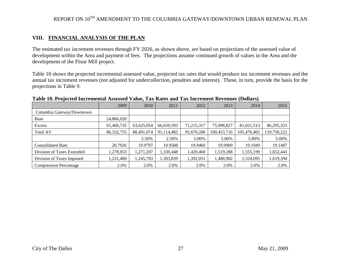#### **VIII. FINANCIAL ANALYSIS OF THE PLAN**

The estimated tax increment revenues through FY 2026, as shown above, are based on projections of the assessed value of development within the Area and payment of fees. The projections assume continued growth of values in the Area and the development of the Flour Mill project.

Table 10 shows the projected incremental assessed value, projected tax rates that would produce tax increment revenues and the annual tax increment revenues (not adjusted for undercollection, penalties and interest). These, in turn, provide the basis for the projections in Table 9.

|                               | 2009         | 2010       | 2011       | 2012       | 2013        | 2014        | 2015        |
|-------------------------------|--------------|------------|------------|------------|-------------|-------------|-------------|
| Columbia Gateway/Downtown     |              |            |            |            |             |             |             |
| Base                          | 24,866,020   |            |            |            |             |             |             |
| Excess                        | 61,466,735   | 63,625,054 | 66,659,593 | 71,215,317 | 75,998,827  | 81,021,513  | 86,295,333  |
| <b>Total AV</b>               | 86, 332, 755 | 88,491,074 | 91,114,482 | 95,670,206 | 100,453,716 | 105,476,402 | 110,750,222 |
|                               |              | 2.50%      | 2.50%      | 5.00%      | 5.00%       | 5.00%       | 5.00%       |
| <b>Consolidated Rate</b>      | 20.7926      | 19.9797    | 19.9588    | 19.9460    | 19.9909     | 19.1949     | 19.1487     |
| Division of Taxes Extended    | 1,278,053    | 1,271,207  | 1,330,448  | 1,420,460  | 1,519,288   | 1,555,199   | 1,652,443   |
| Division of Taxes Imposed     | 1,231,460    | 1,245,783  | 1,303,839  | 1,392,051  | 1,488,902   | 1,524,095   | 1,619,394   |
| <b>Compression Percentage</b> | 2.0%         | 2.0%       | 2.0%       | 2.0%       | 2.0%        | 2.0%        | 2.0%        |

#### **Table 10. Projected Incremental Assessed Value, Tax Rates and Tax Increment Revenues (Dollars)**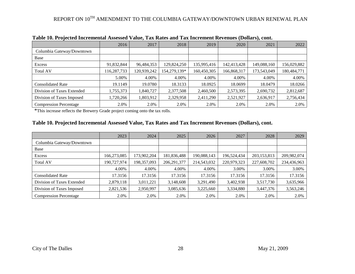|                               | 2016       | 2017        | 2018         | 2019        | 2020        | 2021        | 2022        |
|-------------------------------|------------|-------------|--------------|-------------|-------------|-------------|-------------|
| Columbia Gateway/Downtown     |            |             |              |             |             |             |             |
| Base                          |            |             |              |             |             |             |             |
| Excess                        | 91,832,844 | 96,484,353  | 129,824,250  | 135,995,416 | 142,413,428 | 149,088,160 | 156,029,882 |
| <b>Total AV</b>               | 16,287,733 | 120,939,242 | 154,279,139* | 160,450,305 | 166,868,317 | 173,543,049 | 180,484,771 |
|                               | 5.00%      | 4.00%       | 4.00%        | 4.00%       | 4.00%       | 4.00%       | 4.00%       |
| <b>Consolidated Rate</b>      | 19.1149    | 19.0780     | 18.3133      | 18.0925     | 18.0699     | 18.0479     | 18.0266     |
| Division of Taxes Extended    | 1,755,373  | 1,840,727   | 2,377,508    | 2,460,500   | 2,573,395   | 2,690,732   | 2,812,687   |
| Division of Taxes Imposed     | 1,720,266  | ۔803,912    | 2,329,958    | 2,411,290   | 2,521,927   | 2,636,917   | 2,756,434   |
| <b>Compression Percentage</b> | 2.0%       | 2.0%        | 2.0%         | 2.0%        | 2.0%        | 2.0%        | 2.0%        |

**Table 10. Projected Incremental Assessed Value, Tax Rates and Tax Increment Revenues (Dollars), cont.**

\*This increase reflects the Brewery Grade project coming onto the tax rolls.

#### **Table 10. Projected Incremental Assessed Value, Tax Rates and Tax Increment Revenues (Dollars), cont.**

|                               | 2023        | 2024          | 2025        | 2026        | 2027        | 2028          | 2029        |
|-------------------------------|-------------|---------------|-------------|-------------|-------------|---------------|-------------|
| Columbia Gateway/Downtown     |             |               |             |             |             |               |             |
| Base                          |             |               |             |             |             |               |             |
| Excess                        | 166,273,085 | 173,902,204   | 181,836,488 | 190,088,143 | 196,524,434 | 203, 153, 813 | 209,982,074 |
| <b>Total AV</b>               | 190,727,974 | 198, 357, 093 | 206,291,377 | 214,543,032 | 220,979,323 | 227,608,702   | 234,436,963 |
|                               | 4.00%       | 4.00%         | 4.00%       | 4.00%       | 3.00%       | 3.00%         | 3.00%       |
| <b>Consolidated Rate</b>      | 17.3156     | 17.3156       | 17.3156     | 17.3156     | 17.3156     | 17.3156       | 17.3156     |
| Division of Taxes Extended    | 2,879,118   | 3,011,221     | 3,148,608   | 3,291,490   | 3,402,938   | 3,517,730     | 3,635,966   |
| Division of Taxes Imposed     | 2,821,536   | 2,950,997     | 3,085,636   | 3,225,660   | 3,334,880   | 3,447,376     | 3,563,246   |
| <b>Compression Percentage</b> | 2.0%        | 2.0%          | 2.0%        | 2.0%        | 2.0%        | 2.0%          | 2.0%        |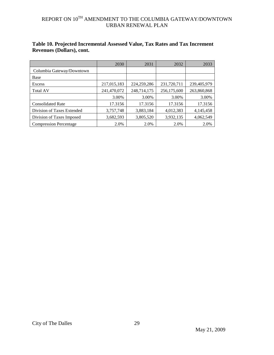|                               | 2030        | 2031        | 2032        | 2033        |
|-------------------------------|-------------|-------------|-------------|-------------|
| Columbia Gateway/Downtown     |             |             |             |             |
| Base                          |             |             |             |             |
| Excess                        | 217,015,183 | 224,259,286 | 231,720,711 | 239,405,979 |
| <b>Total AV</b>               | 241,470,072 | 248,714,175 | 256,175,600 | 263,860,868 |
|                               | 3.00%       | 3.00%       | 3.00%       | 3.00%       |
| <b>Consolidated Rate</b>      | 17.3156     | 17.3156     | 17.3156     | 17.3156     |
| Division of Taxes Extended    | 3,757,748   | 3,883,184   | 4,012,383   | 4,145,458   |
| Division of Taxes Imposed     | 3,682,593   | 3,805,520   | 3,932,135   | 4,062,549   |
| <b>Compression Percentage</b> | 2.0%        | 2.0%        | 2.0%        | 2.0%        |

### **Table 10. Projected Incremental Assessed Value, Tax Rates and Tax Increment Revenues (Dollars), cont.**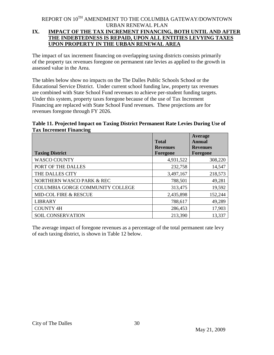### <span id="page-29-0"></span>REPORT ON  $10^{TH}$  AMENDMENT TO THE COLUMBIA GATEWAY/DOWNTOWN URBAN RENEWAL PLAN **IX. IMPACT OF THE TAX INCREMENT FINANCING, BOTH UNTIL AND AFTER THE INDEBTEDNESS IS REPAID, UPON ALL ENTITIES LEVYING TAXES UPON PROPERTY IN THE URBAN RENEWAL AREA**

The impact of tax increment financing on overlapping taxing districts consists primarily of the property tax revenues foregone on permanent rate levies as applied to the growth in assessed value in the Area.

The tables below show no impacts on the The Dalles Public Schools School or the Educational Service District. Under current school funding law, property tax revenues are combined with State School Fund revenues to achieve per-student funding targets. Under this system, property taxes foregone because of the use of Tax Increment Financing are replaced with State School Fund revenues. These projections are for revenues foregone through FY 2026.

#### **Table 11. Projected Impact on Taxing District Permanent Rate Levies During Use of Tax Increment Financing**

| <b>Taxing District</b>           | <b>Total</b><br><b>Revenues</b><br>Foregone | Average<br>Annual<br><b>Revenues</b><br>Foregone |
|----------------------------------|---------------------------------------------|--------------------------------------------------|
| <b>WASCO COUNTY</b>              | 4,931,522                                   | 308,220                                          |
| PORT OF THE DALLES               | 232,758                                     | 14,547                                           |
| THE DALLES CITY                  | 3,497,167                                   | 218,573                                          |
| NORTHERN WASCO PARK & REC        | 788,501                                     | 49,281                                           |
| COLUMBIA GORGE COMMUNITY COLLEGE | 313,475                                     | 19,592                                           |
| MID-COL FIRE & RESCUE            | 2,435,898                                   | 152,244                                          |
| <b>LIBRARY</b>                   | 788,617                                     | 49,289                                           |
| <b>COUNTY 4H</b>                 | 286,453                                     | 17,903                                           |
| <b>SOIL CONSERVATION</b>         | 213,390                                     | 13,337                                           |

The average impact of foregone revenues as a percentage of the total permanent rate levy of each taxing district, is shown in Table 12 below.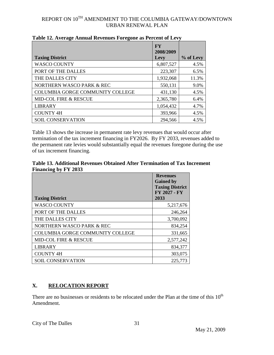|                                         | <b>FY</b><br>2008/2009 |           |
|-----------------------------------------|------------------------|-----------|
| <b>Taxing District</b>                  | Levy                   | % of Levy |
| <b>WASCO COUNTY</b>                     | 6,807,527              | 4.5%      |
| PORT OF THE DALLES                      | 223,307                | 6.5%      |
| THE DALLES CITY                         | 1,932,068              | 11.3%     |
| NORTHERN WASCO PARK & REC               | 550,131                | 9.0%      |
| <b>COLUMBIA GORGE COMMUNITY COLLEGE</b> | 431,130                | 4.5%      |
| <b>MID-COL FIRE &amp; RESCUE</b>        | 2,365,780              | 6.4%      |
| <b>LIBRARY</b>                          | 1,054,432              | 4.7%      |
| <b>COUNTY 4H</b>                        | 393,966                | 4.5%      |
| <b>SOIL CONSERVATION</b>                | 294,566                | 4.5%      |

Table 13 shows the increase in permanent rate levy revenues that would occur after termination of the tax increment financing in FY2026. By FY 2033, revenues added to the permanent rate levies would substantially equal the revenues foregone during the use of tax increment financing.

| Table 13. Additional Revenues Obtained After Termination of Tax Increment |  |  |
|---------------------------------------------------------------------------|--|--|
| Financing by FY 2033                                                      |  |  |

|                                         | <b>Revenues</b><br><b>Gained by</b><br><b>Taxing District</b><br>FY 2027 - FY |
|-----------------------------------------|-------------------------------------------------------------------------------|
| <b>Taxing District</b>                  | 2033                                                                          |
| <b>WASCO COUNTY</b>                     | 5,217,676                                                                     |
| PORT OF THE DALLES                      | 246,264                                                                       |
| THE DALLES CITY                         | 3,700,092                                                                     |
| NORTHERN WASCO PARK & REC               | 834,254                                                                       |
| <b>COLUMBIA GORGE COMMUNITY COLLEGE</b> | 331,665                                                                       |
| MID-COL FIRE & RESCUE                   | 2,577,242                                                                     |
| <b>LIBRARY</b>                          | 834,377                                                                       |
| <b>COUNTY 4H</b>                        | 303,075                                                                       |
| <b>SOIL CONSERVATION</b>                | 225,773                                                                       |

### <span id="page-30-0"></span>**X. RELOCATION REPORT**

There are no businesses or residents to be relocated under the Plan at the time of this  $10<sup>th</sup>$ Amendment.